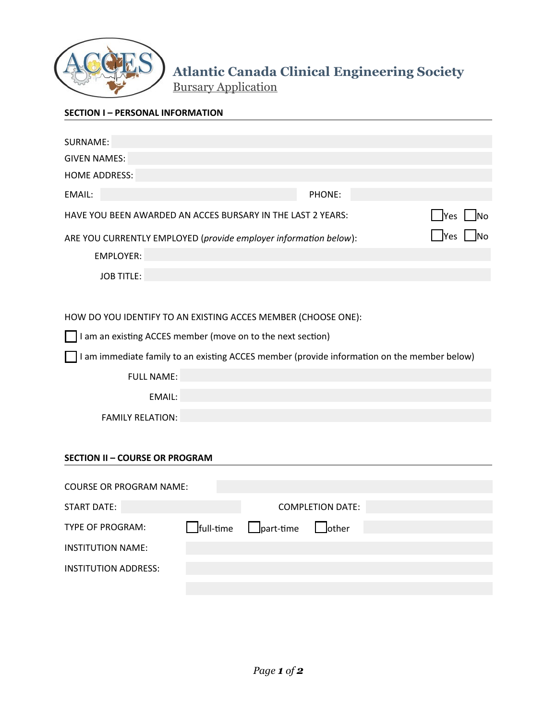

# **Atlantic Canada Clinical Engineering Society**

**Bursary Application** 

| SURNAME:                                                                |                              |  |        |  |  |  |  |  |
|-------------------------------------------------------------------------|------------------------------|--|--------|--|--|--|--|--|
| GIVEN NAMES:                                                            |                              |  |        |  |  |  |  |  |
| <b>HOME ADDRESS:</b>                                                    |                              |  |        |  |  |  |  |  |
| EMAIL:                                                                  |                              |  | PHONE: |  |  |  |  |  |
| $Yes$ No<br>HAVE YOU BEEN AWARDED AN ACCES BURSARY IN THE LAST 2 YEARS: |                              |  |        |  |  |  |  |  |
| ARE YOU CURRENTLY EMPLOYED (provide employer information below):        | $\sqrt{1}$ Yes<br><b>INO</b> |  |        |  |  |  |  |  |
|                                                                         | <b>EMPLOYER:</b>             |  |        |  |  |  |  |  |
|                                                                         | <b>JOB TITLE:</b>            |  |        |  |  |  |  |  |

### HOW DO YOU IDENTIFY TO AN EXISTING ACCES MEMBER (CHOOSE ONE):

I am an existing ACCES member (move on to the next section)

 $\Box$  I am immediate family to an existing ACCES member (provide information on the member below)

FULL NAME:

EMAIL:

FAMILY RELATION:

### **SECTION II – COURSE OR PROGRAM**

| <b>COURSE OR PROGRAM NAME:</b> |                         |                                                |  |  |  |  |  |  |  |
|--------------------------------|-------------------------|------------------------------------------------|--|--|--|--|--|--|--|
| START DATE:                    | <b>COMPLETION DATE:</b> |                                                |  |  |  |  |  |  |  |
| TYPE OF PROGRAM:               |                         | $\Box$ full-time $\Box$ part-time $\Box$ other |  |  |  |  |  |  |  |
| <b>INSTITUTION NAME:</b>       |                         |                                                |  |  |  |  |  |  |  |
| INSTITUTION ADDRESS:           |                         |                                                |  |  |  |  |  |  |  |